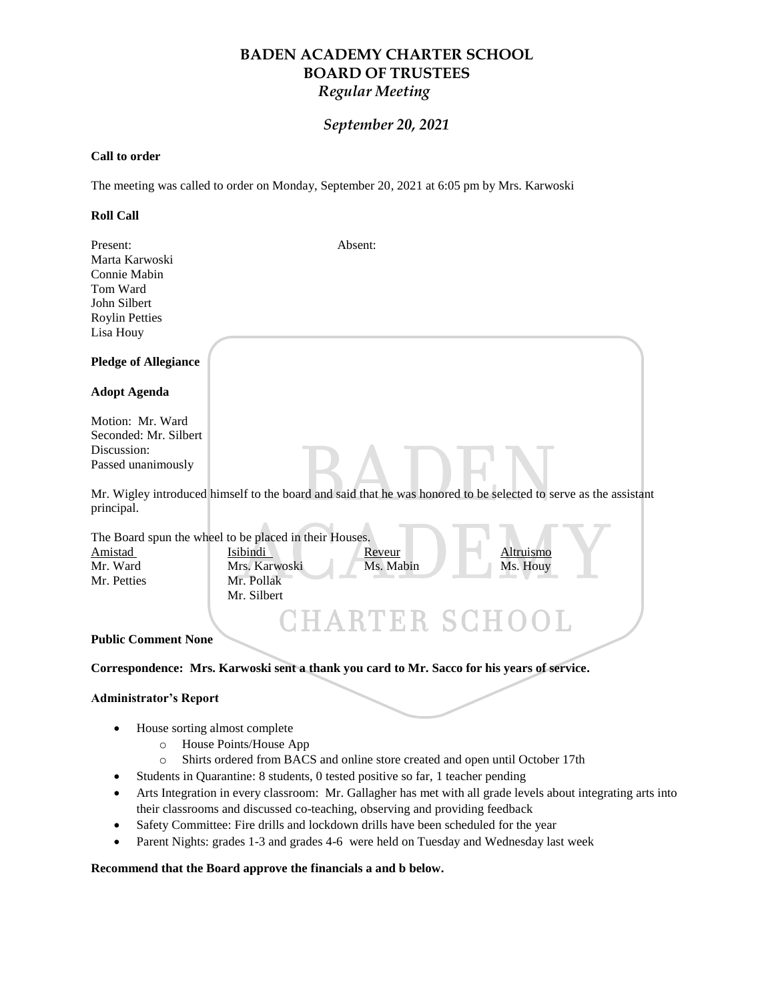# **BADEN ACADEMY CHARTER SCHOOL BOARD OF TRUSTEES** *Regular Meeting*

## *September 20, 2021*

#### **Call to order**

The meeting was called to order on Monday, September 20, 2021 at 6:05 pm by Mrs. Karwoski

#### **Roll Call**

| Present:<br>Marta Karwoski<br>Connie Mabin<br>Tom Ward<br>John Silbert<br><b>Roylin Petties</b><br>Lisa Houy | Absent:                                                                                                                                                          |
|--------------------------------------------------------------------------------------------------------------|------------------------------------------------------------------------------------------------------------------------------------------------------------------|
| <b>Pledge of Allegiance</b>                                                                                  |                                                                                                                                                                  |
| <b>Adopt Agenda</b>                                                                                          |                                                                                                                                                                  |
| Motion: Mr. Ward<br>Seconded: Mr. Silbert<br>Discussion:<br>Passed unanimously                               |                                                                                                                                                                  |
| principal.                                                                                                   | Mr. Wigley introduced himself to the board and said that he was honored to be selected to serve as the assistant                                                 |
| Amistad<br>Mr. Ward<br>Mr. Petties                                                                           | The Board spun the wheel to be placed in their Houses.<br>Isibindi<br>Altruismo<br>Reveur<br>Mrs. Karwoski<br>Ms. Mabin<br>Ms. Houy<br>Mr. Pollak<br>Mr. Silbert |
| <b>Public Comment None</b>                                                                                   | CHARTER SCHO<br>OL.<br>Correspondence: Mrs. Karwoski sent a thank you card to Mr. Sacco for his years of service.                                                |
| <b>Administrator's Report</b>                                                                                |                                                                                                                                                                  |
| $\circ$                                                                                                      | House sorting almost complete<br>House Points/House App                                                                                                          |

- o Shirts ordered from BACS and online store created and open until October 17th
- Students in Quarantine: 8 students, 0 tested positive so far, 1 teacher pending
- Arts Integration in every classroom: Mr. Gallagher has met with all grade levels about integrating arts into their classrooms and discussed co-teaching, observing and providing feedback
- Safety Committee: Fire drills and lockdown drills have been scheduled for the year
- Parent Nights: grades 1-3 and grades 4-6 were held on Tuesday and Wednesday last week

#### **Recommend that the Board approve the financials a and b below.**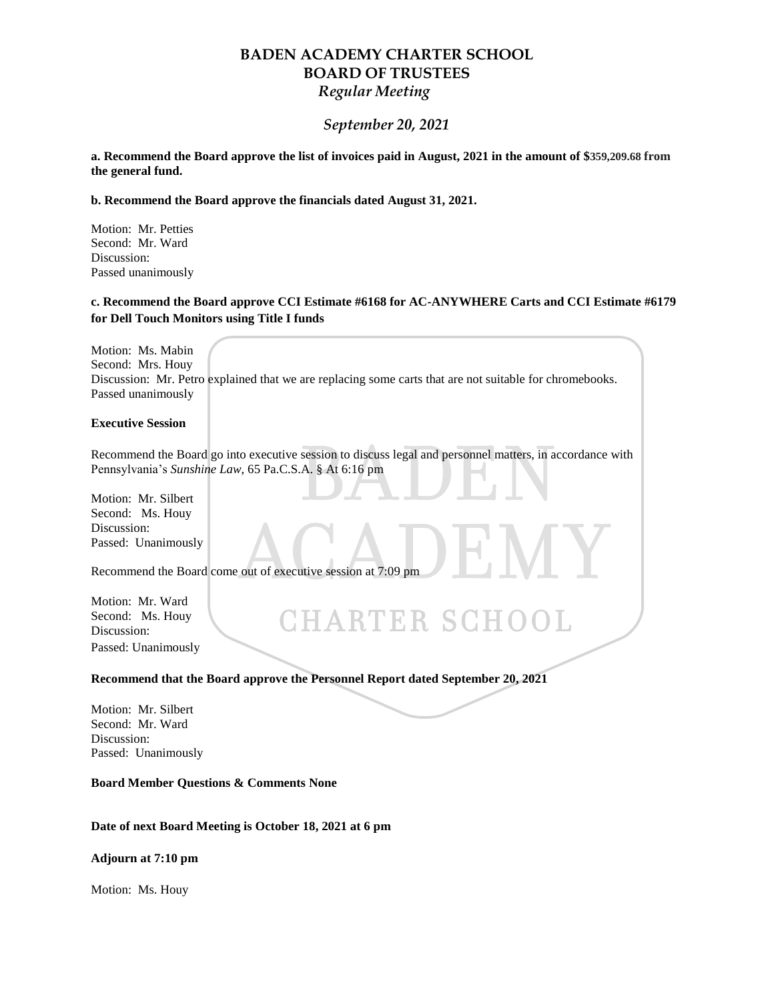## **BADEN ACADEMY CHARTER SCHOOL BOARD OF TRUSTEES** *Regular Meeting*

### *September 20, 2021*

**a. Recommend the Board approve the list of invoices paid in August, 2021 in the amount of \$359,209.68 from the general fund.**

**b. Recommend the Board approve the financials dated August 31, 2021.**

Motion: Mr. Petties Second: Mr. Ward Discussion: Passed unanimously

### **c. Recommend the Board approve CCI Estimate #6168 for AC-ANYWHERE Carts and CCI Estimate #6179 for Dell Touch Monitors using Title I funds**

Motion: Ms. Mabin Second: Mrs. Houy Discussion: Mr. Petro explained that we are replacing some carts that are not suitable for chromebooks. Passed unanimously

#### **Executive Session**

Recommend the Board go into executive session to discuss legal and personnel matters, in accordance with Pennsylvania's *Sunshine Law*, 65 Pa.C.S.A. § At 6:16 pm

**CHARTER SCHOOL** 

Motion: Mr. Silbert Second: Ms. Houy Discussion: Passed: Unanimously

Recommend the Board come out of executive session at 7:09 pm

Motion: Mr. Ward Second: Ms. Houy Discussion: Passed: Unanimously

**Recommend that the Board approve the Personnel Report dated September 20, 2021**

Motion: Mr. Silbert Second: Mr. Ward Discussion: Passed: Unanimously

**Board Member Questions & Comments None**

**Date of next Board Meeting is October 18, 2021 at 6 pm**

**Adjourn at 7:10 pm**

Motion: Ms. Houy